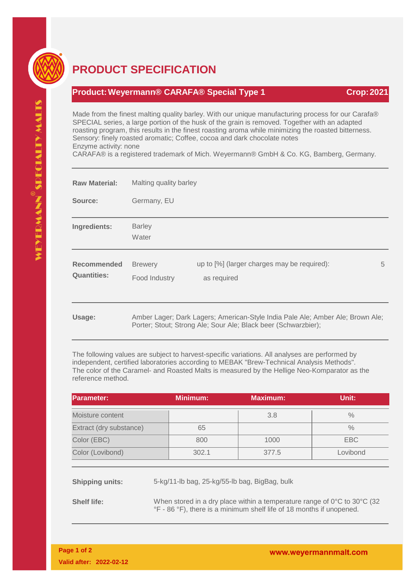

## **PRODUCT SPECIFICATION**

## **Product:Weyermann® CARAFA® Special Type 1 Crop:2021**

Made from the finest malting quality barley. With our unique manufacturing process for our Carafa® SPECIAL series, a large portion of the husk of the grain is removed. Together with an adapted roasting program, this results in the finest roasting aroma while minimizing the roasted bitterness. Sensory: finely roasted aromatic; Coffee, cocoa and dark chocolate notes Enzyme activity: none

CARAFA® is a registered trademark of Mich. Weyermann® GmbH & Co. KG, Bamberg, Germany.

| <b>Raw Material:</b>              | Malting quality barley          |                                                                                                                                                  |   |  |
|-----------------------------------|---------------------------------|--------------------------------------------------------------------------------------------------------------------------------------------------|---|--|
| Source:                           | Germany, EU                     |                                                                                                                                                  |   |  |
| Ingredients:                      | <b>Barley</b><br>Water          |                                                                                                                                                  |   |  |
| Recommended<br><b>Quantities:</b> | <b>Brewery</b><br>Food Industry | up to [%] (larger charges may be required):<br>as required                                                                                       | 5 |  |
| Usage:                            |                                 | Amber Lager; Dark Lagers; American-Style India Pale Ale; Amber Ale; Brown Ale;<br>Porter; Stout; Strong Ale; Sour Ale; Black beer (Schwarzbier); |   |  |

The following values are subject to harvest-specific variations. All analyses are performed by independent, certified laboratories according to MEBAK "Brew-Technical Analysis Methods". The color of the Caramel- and Roasted Malts is measured by the Hellige Neo-Komparator as the reference method.

| <b>IParameter:</b>      | <b>Minimum:</b> | <b>Maximum:</b> | Unit:         |
|-------------------------|-----------------|-----------------|---------------|
| Moisture content        |                 | 3.8             | $\frac{0}{0}$ |
| Extract (dry substance) | 65              |                 | $\frac{0}{0}$ |
| Color (EBC)             | 800             | 1000            | EBC           |
| Color (Lovibond)        | 302.1           | 377.5           | Lovibond      |

**Shipping units:** 5-kg/11-lb bag, 25-kg/55-lb bag, BigBag, bulk

**Shelf life:** When stored in a dry place within a temperature range of 0°C to 30°C (32) °F - 86 °F), there is a minimum shelf life of 18 months if unopened.